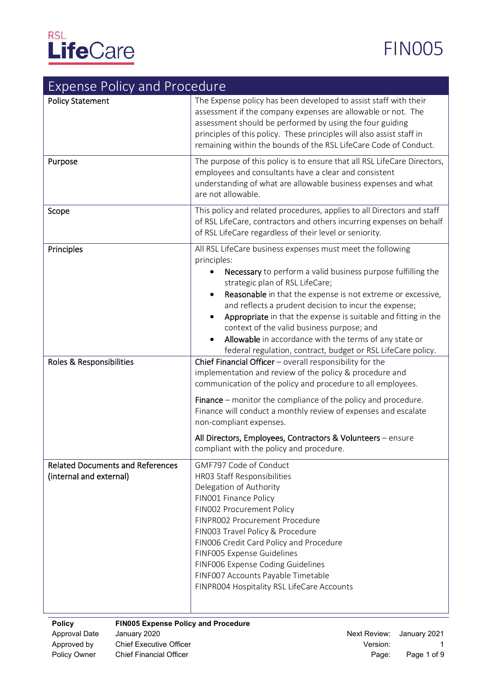

## FIN005

| <b>Expense Policy and Procedure</b>                                |                                                                                                                                                                                                                                                                                                                                                                                                                                                                                                                                                |  |  |
|--------------------------------------------------------------------|------------------------------------------------------------------------------------------------------------------------------------------------------------------------------------------------------------------------------------------------------------------------------------------------------------------------------------------------------------------------------------------------------------------------------------------------------------------------------------------------------------------------------------------------|--|--|
| <b>Policy Statement</b>                                            | The Expense policy has been developed to assist staff with their<br>assessment if the company expenses are allowable or not. The<br>assessment should be performed by using the four guiding<br>principles of this policy. These principles will also assist staff in<br>remaining within the bounds of the RSL LifeCare Code of Conduct.                                                                                                                                                                                                      |  |  |
| Purpose                                                            | The purpose of this policy is to ensure that all RSL LifeCare Directors,<br>employees and consultants have a clear and consistent<br>understanding of what are allowable business expenses and what<br>are not allowable.                                                                                                                                                                                                                                                                                                                      |  |  |
| Scope                                                              | This policy and related procedures, applies to all Directors and staff<br>of RSL LifeCare, contractors and others incurring expenses on behalf<br>of RSL LifeCare regardless of their level or seniority.                                                                                                                                                                                                                                                                                                                                      |  |  |
| Principles                                                         | All RSL LifeCare business expenses must meet the following<br>principles:<br>Necessary to perform a valid business purpose fulfilling the<br>strategic plan of RSL LifeCare;<br>Reasonable in that the expense is not extreme or excessive,<br>and reflects a prudent decision to incur the expense;<br>Appropriate in that the expense is suitable and fitting in the<br>context of the valid business purpose; and<br>Allowable in accordance with the terms of any state or<br>federal regulation, contract, budget or RSL LifeCare policy. |  |  |
| Roles & Responsibilities                                           | Chief Financial Officer $-$ overall responsibility for the<br>implementation and review of the policy & procedure and<br>communication of the policy and procedure to all employees.<br><b>Finance</b> – monitor the compliance of the policy and procedure.<br>Finance will conduct a monthly review of expenses and escalate<br>non-compliant expenses.<br>All Directors, Employees, Contractors & Volunteers - ensure<br>compliant with the policy and procedure.                                                                           |  |  |
| <b>Related Documents and References</b><br>(internal and external) | GMF797 Code of Conduct<br>HR03 Staff Responsibilities<br>Delegation of Authority<br>FIN001 Finance Policy<br>FIN002 Procurement Policy<br>FINPR002 Procurement Procedure<br>FIN003 Travel Policy & Procedure<br>FIN006 Credit Card Policy and Procedure<br>FINF005 Expense Guidelines<br>FINF006 Expense Coding Guidelines<br>FINF007 Accounts Payable Timetable<br>FINPR004 Hospitality RSL LifeCare Accounts                                                                                                                                 |  |  |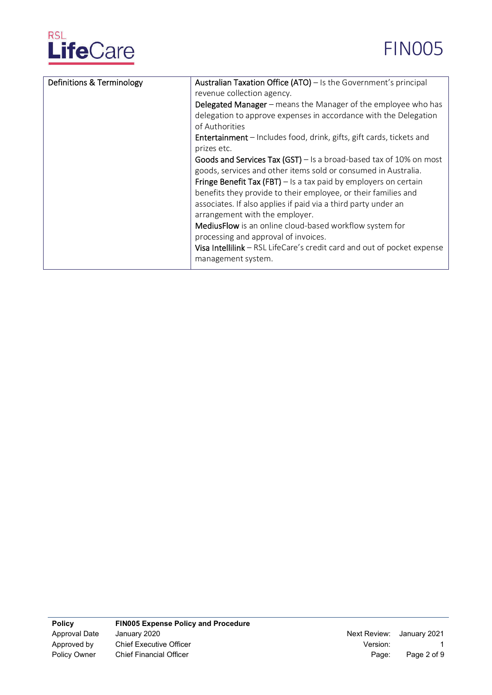



| Definitions & Terminology | Australian Taxation Office (ATO) - Is the Government's principal            |
|---------------------------|-----------------------------------------------------------------------------|
|                           | revenue collection agency.                                                  |
|                           | <b>Delegated Manager</b> – means the Manager of the employee who has        |
|                           | delegation to approve expenses in accordance with the Delegation            |
|                           | of Authorities                                                              |
|                           | <b>Entertainment</b> – Includes food, drink, gifts, gift cards, tickets and |
|                           | prizes etc.                                                                 |
|                           | Goods and Services Tax (GST) – Is a broad-based tax of 10% on most          |
|                           | goods, services and other items sold or consumed in Australia.              |
|                           | Fringe Benefit Tax (FBT) $-$ Is a tax paid by employers on certain          |
|                           | benefits they provide to their employee, or their families and              |
|                           | associates. If also applies if paid via a third party under an              |
|                           | arrangement with the employer.                                              |
|                           | MediusFlow is an online cloud-based workflow system for                     |
|                           | processing and approval of invoices.                                        |
|                           | Visa Intellilink - RSL LifeCare's credit card and out of pocket expense     |
|                           | management system.                                                          |
|                           |                                                                             |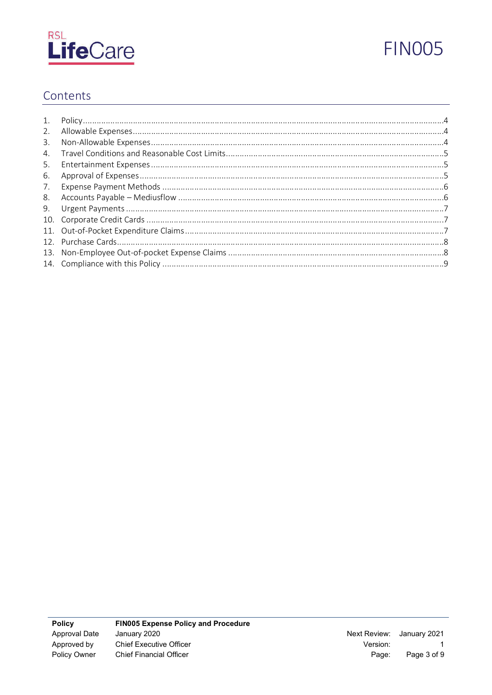



#### Contents

| 2. |  |
|----|--|
| 3. |  |
| 4. |  |
| 5. |  |
| 6. |  |
| 7. |  |
| 8. |  |
| 9. |  |
|    |  |
|    |  |
|    |  |
|    |  |
|    |  |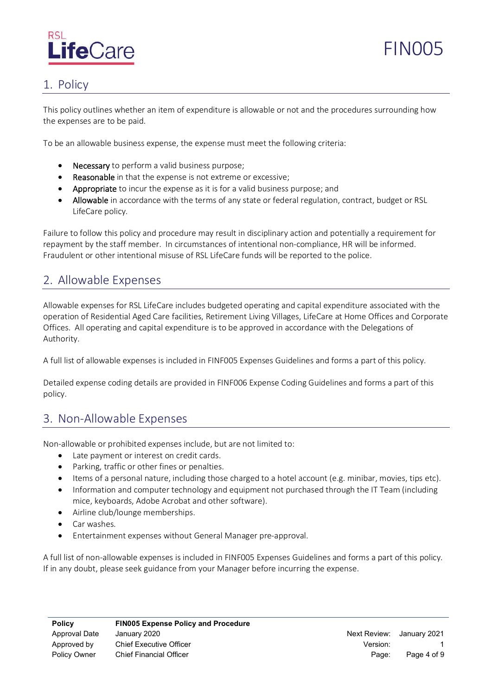



#### 1. Policy

This policy outlines whether an item of expenditure is allowable or not and the procedures surrounding how the expenses are to be paid.

To be an allowable business expense, the expense must meet the following criteria:

- Necessary to perform a valid business purpose;
- Reasonable in that the expense is not extreme or excessive;
- Appropriate to incur the expense as it is for a valid business purpose; and
- Allowable in accordance with the terms of any state or federal regulation, contract, budget or RSL LifeCare policy.

Failure to follow this policy and procedure may result in disciplinary action and potentially a requirement for repayment by the staff member. In circumstances of intentional non-compliance, HR will be informed. Fraudulent or other intentional misuse of RSL LifeCare funds will be reported to the police.

#### 2. Allowable Expenses

Allowable expenses for RSL LifeCare includes budgeted operating and capital expenditure associated with the operation of Residential Aged Care facilities, Retirement Living Villages, LifeCare at Home Offices and Corporate Offices. All operating and capital expenditure is to be approved in accordance with the Delegations of Authority.

A full list of allowable expenses is included in FINF005 Expenses Guidelines and forms a part of this policy.

Detailed expense coding details are provided in FINF006 Expense Coding Guidelines and forms a part of this policy.

#### 3. Non-Allowable Expenses

Non-allowable or prohibited expenses include, but are not limited to:

- Late payment or interest on credit cards.
- Parking, traffic or other fines or penalties.
- Items of a personal nature, including those charged to a hotel account (e.g. minibar, movies, tips etc).
- Information and computer technology and equipment not purchased through the IT Team (including mice, keyboards, Adobe Acrobat and other software).
- Airline club/lounge memberships.
- Car washes.
- Entertainment expenses without General Manager pre-approval.

A full list of non-allowable expenses is included in FINF005 Expenses Guidelines and forms a part of this policy. If in any doubt, please seek guidance from your Manager before incurring the expense.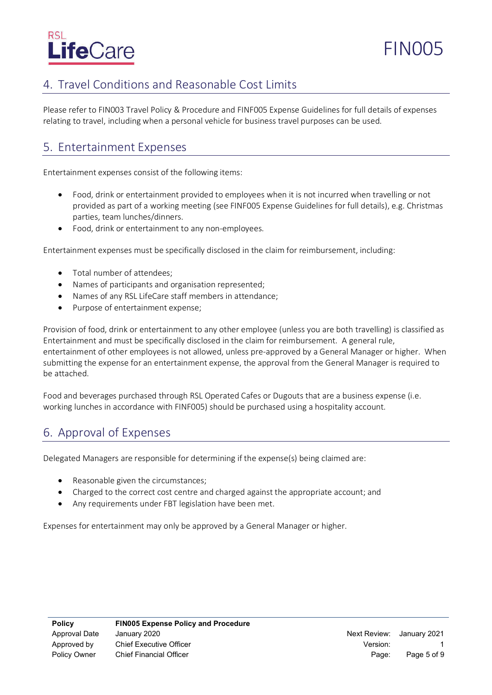# **Life**Care

### 4. Travel Conditions and Reasonable Cost Limits

Please refer to FIN003 Travel Policy & Procedure and FINF005 Expense Guidelines for full details of expenses relating to travel, including when a personal vehicle for business travel purposes can be used.

#### 5. Entertainment Expenses

Entertainment expenses consist of the following items:

- Food, drink or entertainment provided to employees when it is not incurred when travelling or not provided as part of a working meeting (see FINF005 Expense Guidelines for full details), e.g. Christmas parties, team lunches/dinners.
- Food, drink or entertainment to any non-employees.

Entertainment expenses must be specifically disclosed in the claim for reimbursement, including:

- Total number of attendees;
- Names of participants and organisation represented;
- Names of any RSL LifeCare staff members in attendance;
- Purpose of entertainment expense;

Provision of food, drink or entertainment to any other employee (unless you are both travelling) is classified as Entertainment and must be specifically disclosed in the claim for reimbursement. A general rule, entertainment of other employees is not allowed, unless pre-approved by a General Manager or higher. When submitting the expense for an entertainment expense, the approval from the General Manager is required to beattached.

Food and beverages purchased through RSL Operated Cafes or Dugouts that are a business expense (i.e. working lunches in accordance with FINF005) should be purchased using a hospitality account.

#### 6. Approval of Expenses

Delegated Managers are responsible for determining if the expense(s) being claimed are:

- Reasonable given the circumstances;
- Charged to the correct cost centre and charged against the appropriate account; and
- Any requirements under FBT legislation have been met.

Expenses for entertainment may only be approved by a General Manager or higher.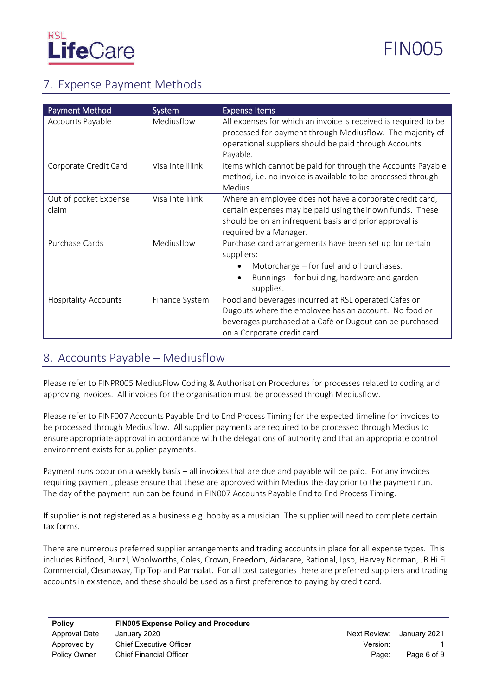

### 7. Expense Payment Methods

| <b>Payment Method</b>          | <b>System</b>    | <b>Expense Items</b>                                                                                                                                                                                      |
|--------------------------------|------------------|-----------------------------------------------------------------------------------------------------------------------------------------------------------------------------------------------------------|
| Accounts Payable               | Mediusflow       | All expenses for which an invoice is received is required to be<br>processed for payment through Mediusflow. The majority of<br>operational suppliers should be paid through Accounts<br>Payable.         |
| Corporate Credit Card          | Visa Intellilink | Items which cannot be paid for through the Accounts Payable<br>method, i.e. no invoice is available to be processed through<br>Medius.                                                                    |
| Out of pocket Expense<br>claim | Visa Intellilink | Where an employee does not have a corporate credit card,<br>certain expenses may be paid using their own funds. These<br>should be on an infrequent basis and prior approval is<br>required by a Manager. |
| Purchase Cards                 | Mediusflow       | Purchase card arrangements have been set up for certain<br>suppliers:<br>Motorcharge – for fuel and oil purchases.<br>Bunnings – for building, hardware and garden<br>supplies.                           |
| <b>Hospitality Accounts</b>    | Finance System   | Food and beverages incurred at RSL operated Cafes or<br>Dugouts where the employee has an account. No food or<br>beverages purchased at a Café or Dugout can be purchased<br>on a Corporate credit card.  |

#### 8. Accounts Payable – Mediusflow

Please refer to FINPR005 MediusFlow Coding & Authorisation Procedures for processes related to coding and approving invoices. All invoices for the organisation must be processed through Mediusflow.

Please refer to FINF007 Accounts Payable End to End Process Timing for the expected timeline for invoices to be processed through Mediusflow. All supplier payments are required to be processed through Medius to ensure appropriate approval in accordance with the delegations of authority and that an appropriate control environment exists for supplier payments.

Payment runs occur on a weekly basis – all invoices that are due and payable will be paid. For any invoices requiring payment, please ensure that these are approved within Medius the day prior to the payment run. The day of the payment run can be found in FIN007 Accounts Payable End to End Process Timing.

If supplier is not registered as a business e.g. hobby as a musician. The supplier will need to complete certain tax forms.

There are numerous preferred supplier arrangements and trading accounts in place for all expense types. This includes Bidfood, Bunzl, Woolworths, Coles, Crown, Freedom, Aidacare, Rational, Ipso, Harvey Norman, JB Hi Fi Commercial, Cleanaway, Tip Top and Parmalat. For all cost categories there are preferred suppliers and trading accounts in existence, and these should be used as a first preference to paying by credit card.

| <b>Policy</b>       | <b>FIN005 Expense Policy and Procedure</b> |              |              |
|---------------------|--------------------------------------------|--------------|--------------|
| Approval Date       | January 2020                               | Next Review: | Januarv 2021 |
| Approved by         | <b>Chief Executive Officer</b>             | Version:     |              |
| <b>Policy Owner</b> | <b>Chief Financial Officer</b>             | Page:        | Page 6 of 9  |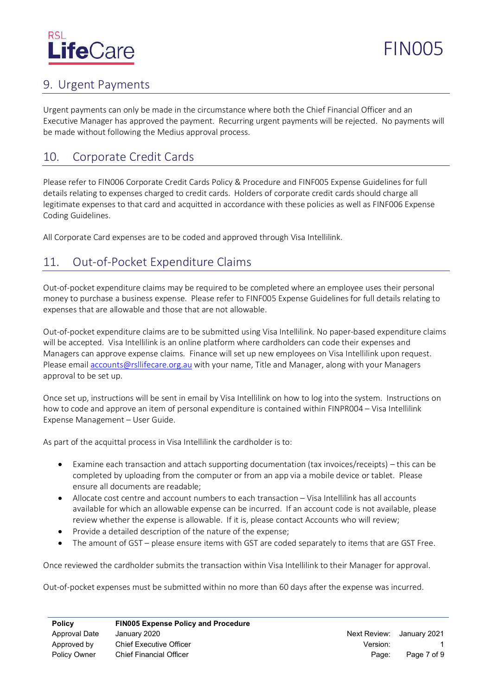



#### 9. Urgent Payments

Urgent payments can only be made in the circumstance where both the Chief Financial Officer and an Executive Manager has approved the payment. Recurring urgent payments will be rejected. No payments will be made without following the Medius approval process.

#### 10. Corporate Credit Cards

Please refer to FIN006 Corporate Credit Cards Policy & Procedure and FINF005 Expense Guidelines for full details relating to expenses charged to credit cards. Holders of corporate credit cards should charge all legitimate expenses to that card and acquitted in accordance with these policies as well as FINF006 Expense Coding Guidelines.

All Corporate Card expenses are to be coded and approved through Visa Intellilink.

#### 11. Out-of-Pocket Expenditure Claims

Out-of-pocket expenditure claims may be required to be completed where an employee uses their personal money to purchase a business expense. Please refer to FINF005 Expense Guidelines for full details relating to expenses that are allowable and those that are not allowable.

Out-of-pocket expenditure claims are to be submitted using Visa Intellilink. No paper-based expenditure claims will be accepted. Visa Intellilink is an online platform where cardholders can code their expenses and Managers can approve expense claims. Finance will set up new employees on Visa Intellilink upon request. Please email accounts@rsllifecare.org.au with your name, Title and Manager, along with your Managers approval to be set up.

Once set up, instructions will be sent in email by Visa Intellilink on how to log into the system. Instructions on how to code and approve an item of personal expenditure is contained within FINPR004 – Visa Intellilink Expense Management - User Guide.

As part of the acquittal process in Visa Intellilink the cardholder is to:

- Examine each transaction and attach supporting documentation (tax invoices/receipts) this can be completed by uploading from the computer or from an app via a mobile device or tablet. Please ensure all documents are readable:
- Allocate cost centre and account numbers to each transaction  $-$  Visa Intellilink has all accounts available for which an allowable expense can be incurred. If an account code is not available, please review whether the expense is allowable. If it is, please contact Accounts who will review;
- Provide a detailed description of the nature of the expense;
- The amount of GST please ensure items with GST are coded separately to items that are GST Free.

Once reviewed the cardholder submits the transaction within Visa Intellilink to their Manager for approval.

Out-of-pocket expenses must be submitted within no more than 60 days after the expense was incurred.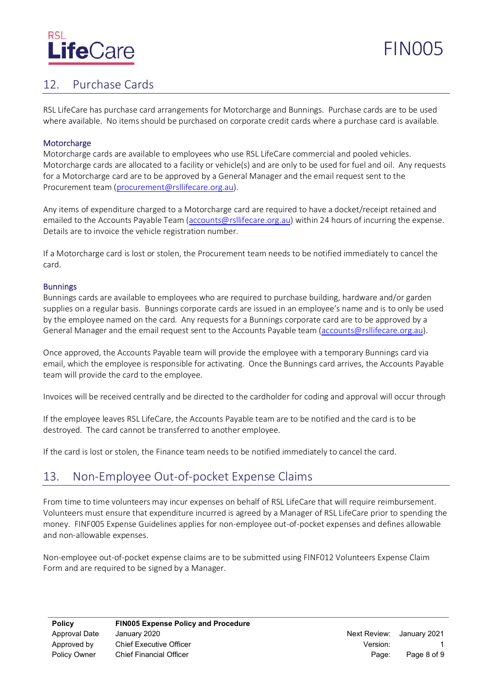# **Life**Care

## FIN005

#### 12. Purchase Cards

RSL LifeCare has purchase card arrangements for Motorcharge and Bunnings. Purchase cards are to be used where available. No items should be purchased on corporate credit cards where a purchase card is available.

#### Motorcharge

Motorcharge cards are available to employees who use RSL LifeCare commercial and pooled vehicles. Motorcharge cards are allocated to a facility or vehicle(s) and are only to be used for fuel and oil. Any requests for a Motorcharge card are to be approved by a General Manager and the email request sent to the Procurement team (procurement@rsllifecare.org.au).

Any items of expenditure charged to a Motorcharge card are required to have a docket/receipt retained and emailed to the Accounts Payable Team (accounts@rsllifecare.org.au) within 24 hours of incurring the expense. Details are to invoice the vehicle registration number.

If a Motorcharge card is lost or stolen, the Procurement team needs to be notified immediately to cancel the card.

#### **Bunnings**

Bunnings cards are available to employees who are required to purchase building, hardware and/or garden supplies on a regular basis. Bunnings corporate cards are issued in an employee's name and is to only be used by the employee named on the card. Any requests for a Bunnings corporate card are to be approved by a General Manager and the email request sent to the Accounts Payable team (accounts@rsllifecare.org.au).

Once approved, the Accounts Payable team will provide the employee with a temporary Bunnings card via email, which the employee is responsible for activating. Once the Bunnings card arrives, the Accounts Payable team will provide the card to the employee.

Invoices will be received centrally and be directed to the cardholder for coding and approval will occur through

If the employee leaves RSL LifeCare, the Accounts Payable team are to be notified and the card is to be destroved. The card cannot be transferred to another employee.

If the card is lost or stolen, the Finance team needs to be notified immediately to cancel the card.

#### 13. Non-Employee Out-of-pocket Expense Claims

From time to time volunteers may incur expenses on behalf of RSL LifeCare that will require reimbursement. Volunteers must ensure that expenditure incurred is agreed by a Manager of RSL LifeCare prior to spending the money. FINF005 Expense Guidelines applies for non-employee out-of-pocket expenses and defines allowable and non-allowable expenses.

Non-employee out-of-pocket expense claims are to be submitted using FINF012 Volunteers Expense Claim Form and are required to be signed by a Manager.

| <b>Policy</b> | <b>FIN005 Expense Policy and Procedure</b> |              |              |
|---------------|--------------------------------------------|--------------|--------------|
| Approval Date | January 2020                               | Next Review: | January 2021 |
| Approved by   | <b>Chief Executive Officer</b>             | Version:     |              |
| Policy Owner  | <b>Chief Financial Officer</b>             | Page:        | Page 8 of 9  |